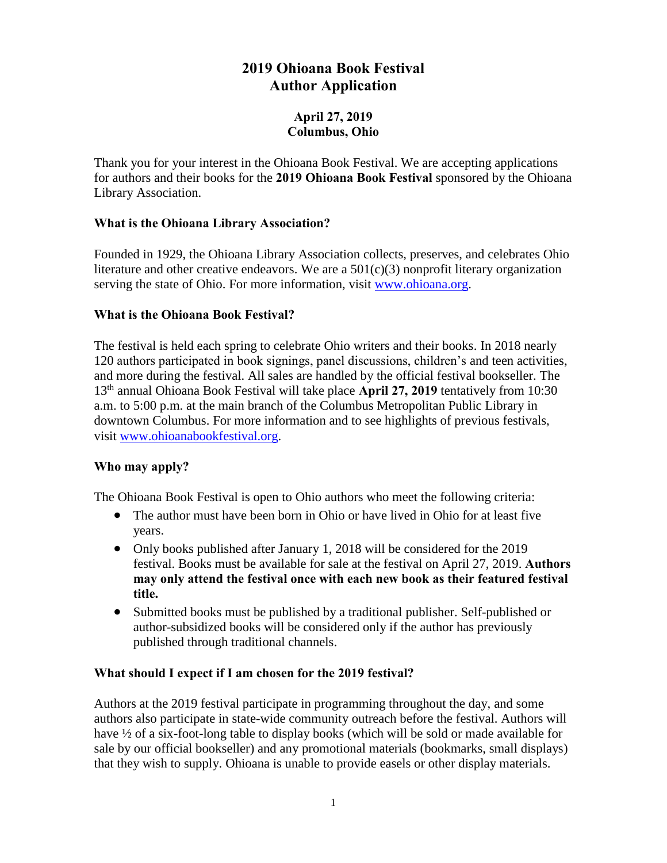# **2019 Ohioana Book Festival Author Application**

## **April 27, 2019 Columbus, Ohio**

Thank you for your interest in the Ohioana Book Festival. We are accepting applications for authors and their books for the **2019 Ohioana Book Festival** sponsored by the Ohioana Library Association.

# **What is the Ohioana Library Association?**

Founded in 1929, the Ohioana Library Association collects, preserves, and celebrates Ohio literature and other creative endeavors. We are a  $501(c)(3)$  nonprofit literary organization serving the state of Ohio. For more information, visit [www.ohioana.org.](http://www.ohioana.org/)

# **What is the Ohioana Book Festival?**

The festival is held each spring to celebrate Ohio writers and their books. In 2018 nearly 120 authors participated in book signings, panel discussions, children's and teen activities, and more during the festival. All sales are handled by the official festival bookseller. The 13<sup>th</sup> annual Ohioana Book Festival will take place April 27, 2019 tentatively from 10:30 a.m. to 5:00 p.m. at the main branch of the Columbus Metropolitan Public Library in downtown Columbus. For more information and to see highlights of previous festivals, visit [www.ohioanabookfestival.org.](http://www.ohioanabookfestival.org/)

# **Who may apply?**

The Ohioana Book Festival is open to Ohio authors who meet the following criteria:

- The author must have been born in Ohio or have lived in Ohio for at least five years.
- Only books published after January 1, 2018 will be considered for the 2019 festival. Books must be available for sale at the festival on April 27, 2019. **Authors may only attend the festival once with each new book as their featured festival title.**
- Submitted books must be published by a traditional publisher. Self-published or author-subsidized books will be considered only if the author has previously published through traditional channels.

### **What should I expect if I am chosen for the 2019 festival?**

Authors at the 2019 festival participate in programming throughout the day, and some authors also participate in state-wide community outreach before the festival. Authors will have ½ of a six-foot-long table to display books (which will be sold or made available for sale by our official bookseller) and any promotional materials (bookmarks, small displays) that they wish to supply. Ohioana is unable to provide easels or other display materials.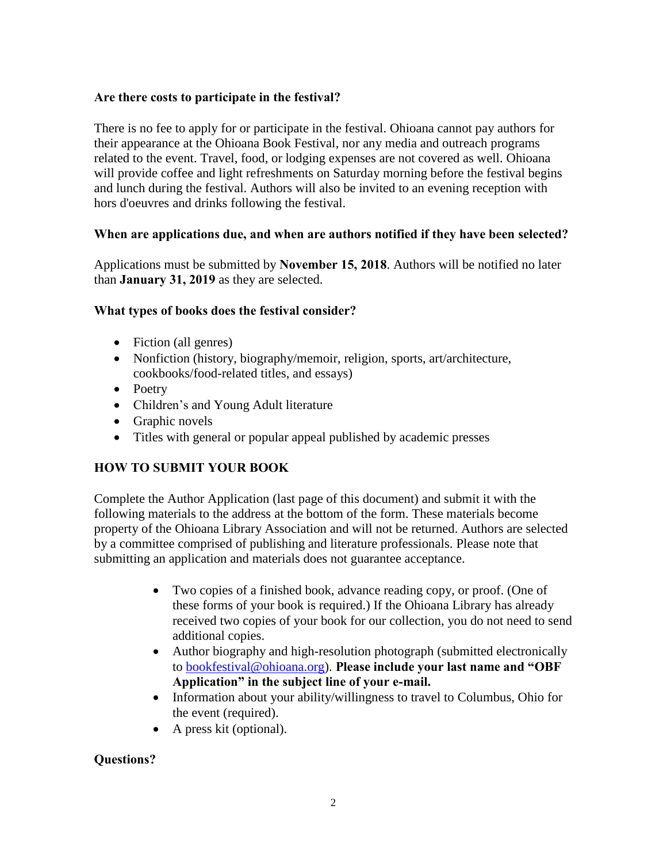#### **Are there costs to participate in the festival?**

There is no fee to apply for or participate in the festival. Ohioana cannot pay authors for their appearance at the Ohioana Book Festival, nor any media and outreach programs related to the event. Travel, food, or lodging expenses are not covered as well. Ohioana will provide coffee and light refreshments on Saturday morning before the festival begins and lunch during the festival. Authors will also be invited to an evening reception with hors d'oeuvres and drinks following the festival.

#### **When are applications due, and when are authors notified if they have been selected?**

Applications must be submitted by **November 15, 2018**. Authors will be notified no later than **January 31, 2019** as they are selected.

#### **What types of books does the festival consider?**

- Fiction (all genres)
- Nonfiction (history, biography/memoir, religion, sports, art/architecture, cookbooks/food-related titles, and essays)
- Poetry
- Children's and Young Adult literature
- Graphic novels
- Titles with general or popular appeal published by academic presses

# **HOW TO SUBMIT YOUR BOOK**

Complete the Author Application (last page of this document) and submit it with the following materials to the address at the bottom of the form. These materials become property of the Ohioana Library Association and will not be returned. Authors are selected by a committee comprised of publishing and literature professionals. Please note that submitting an application and materials does not guarantee acceptance.

- Two copies of a finished book, advance reading copy, or proof. (One of these forms of your book is required.) If the Ohioana Library has already received two copies of your book for our collection, you do not need to send additional copies.
- Author biography and high-resolution photograph (submitted electronically to [bookfestival@ohioana.org\)](mailto:bookfestival@ohioana.org). **Please include your last name and "OBF Application" in the subject line of your e-mail.**
- Information about your ability/willingness to travel to Columbus, Ohio for the event (required).
- A press kit (optional).

### **Questions?**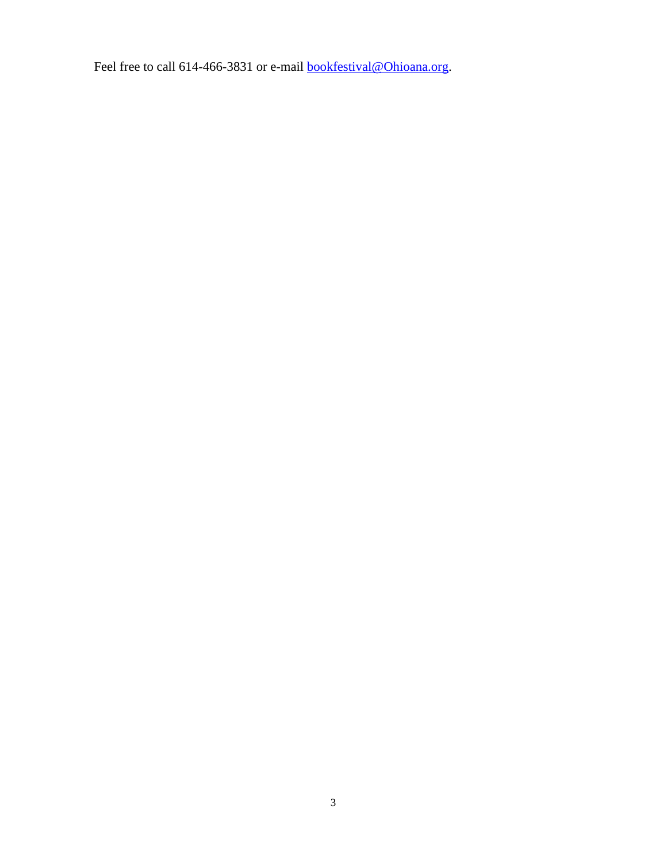Feel free to call 614-466-3831 or e-mail **bookfestival@Ohioana.org**.